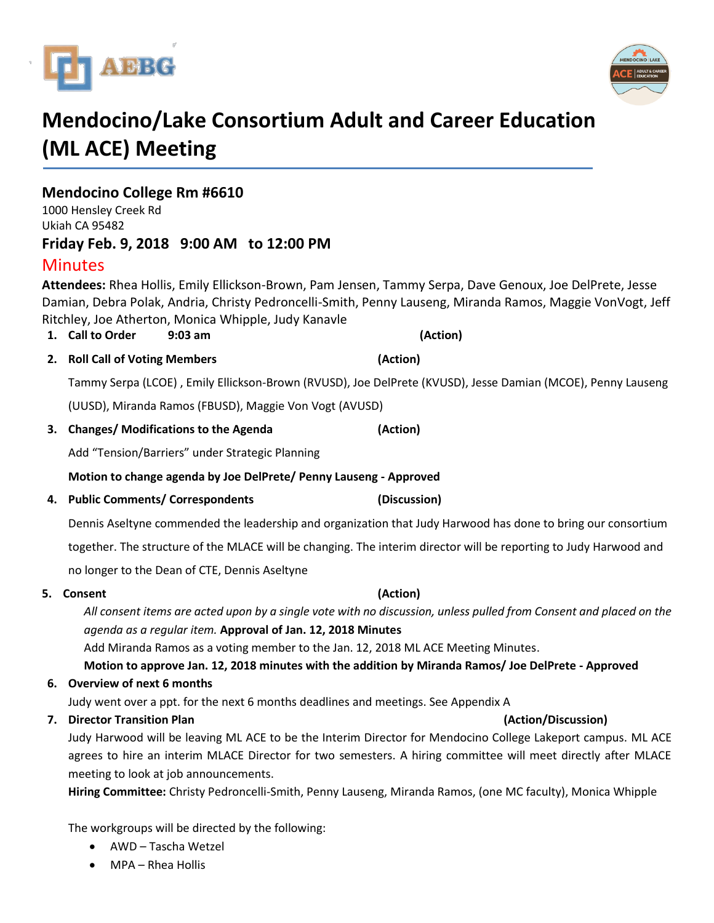



# **Mendocino/Lake Consortium Adult and Career Education (ML ACE) Meeting**

**Mendocino College Rm #6610** 1000 Hensley Creek Rd Ukiah CA 95482 **Friday Feb. 9, 2018 9:00 AM to 12:00 PM**

## **Minutes**

**Attendees:** Rhea Hollis, Emily Ellickson-Brown, Pam Jensen, Tammy Serpa, Dave Genoux, Joe DelPrete, Jesse Damian, Debra Polak, Andria, Christy Pedroncelli-Smith, Penny Lauseng, Miranda Ramos, Maggie VonVogt, Jeff Ritchley, Joe Atherton, Monica Whipple, Judy Kanavle

### **1. Call to Order 9:03 am (Action)**

**2. Roll Call of Voting Members (Action)**

Tammy Serpa (LCOE) , Emily Ellickson-Brown (RVUSD), Joe DelPrete (KVUSD), Jesse Damian (MCOE), Penny Lauseng

(UUSD), Miranda Ramos (FBUSD), Maggie Von Vogt (AVUSD)

### **3. Changes/ Modifications to the Agenda (Action)**

Add "Tension/Barriers" under Strategic Planning

**Motion to change agenda by Joe DelPrete/ Penny Lauseng - Approved**

**4. Public Comments/ Correspondents (Discussion)**

Dennis Aseltyne commended the leadership and organization that Judy Harwood has done to bring our consortium

together. The structure of the MLACE will be changing. The interim director will be reporting to Judy Harwood and

no longer to the Dean of CTE, Dennis Aseltyne

### **5. Consent (Action)**

*All consent items are acted upon by a single vote with no discussion, unless pulled from Consent and placed on the agenda as a regular item.* **Approval of Jan. 12, 2018 Minutes**

Add Miranda Ramos as a voting member to the Jan. 12, 2018 ML ACE Meeting Minutes.

**Motion to approve Jan. 12, 2018 minutes with the addition by Miranda Ramos/ Joe DelPrete - Approved**

### **6. Overview of next 6 months**

Judy went over a ppt. for the next 6 months deadlines and meetings. See Appendix A

### **7. Director Transition Plan (Action/Discussion)**

Judy Harwood will be leaving ML ACE to be the Interim Director for Mendocino College Lakeport campus. ML ACE agrees to hire an interim MLACE Director for two semesters. A hiring committee will meet directly after MLACE meeting to look at job announcements.

**Hiring Committee:** Christy Pedroncelli-Smith, Penny Lauseng, Miranda Ramos, (one MC faculty), Monica Whipple

The workgroups will be directed by the following:

- AWD Tascha Wetzel
- MPA Rhea Hollis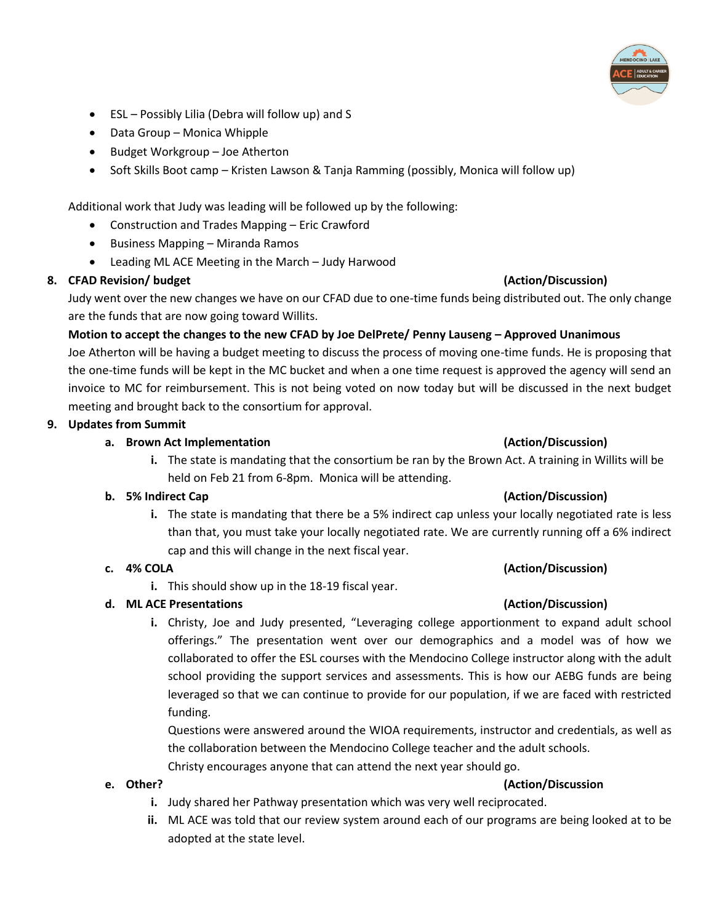

- ESL Possibly Lilia (Debra will follow up) and S
- Data Group Monica Whipple
- Budget Workgroup Joe Atherton
- Soft Skills Boot camp Kristen Lawson & Tanja Ramming (possibly, Monica will follow up)

Additional work that Judy was leading will be followed up by the following:

- Construction and Trades Mapping Eric Crawford
- Business Mapping Miranda Ramos
- Leading ML ACE Meeting in the March Judy Harwood

### **8. CFAD Revision/ budget (Action/Discussion)**

Judy went over the new changes we have on our CFAD due to one-time funds being distributed out. The only change are the funds that are now going toward Willits.

**Motion to accept the changes to the new CFAD by Joe DelPrete/ Penny Lauseng – Approved Unanimous** Joe Atherton will be having a budget meeting to discuss the process of moving one-time funds. He is proposing that the one-time funds will be kept in the MC bucket and when a one time request is approved the agency will send an invoice to MC for reimbursement. This is not being voted on now today but will be discussed in the next budget meeting and brought back to the consortium for approval.

### **9. Updates from Summit**

### **a. Brown Act Implementation (Action/Discussion)**

**i.** The state is mandating that the consortium be ran by the Brown Act. A training in Willits will be held on Feb 21 from 6-8pm. Monica will be attending.

### **b. 5% Indirect Cap (Action/Discussion)**

**i.** The state is mandating that there be a 5% indirect cap unless your locally negotiated rate is less than that, you must take your locally negotiated rate. We are currently running off a 6% indirect cap and this will change in the next fiscal year.

### **c. 4% COLA (Action/Discussion)**

**i.** This should show up in the 18-19 fiscal year.

### **d. ML ACE Presentations (Action/Discussion)**

**i.** Christy, Joe and Judy presented, "Leveraging college apportionment to expand adult school offerings." The presentation went over our demographics and a model was of how we collaborated to offer the ESL courses with the Mendocino College instructor along with the adult school providing the support services and assessments. This is how our AEBG funds are being leveraged so that we can continue to provide for our population, if we are faced with restricted funding.

Questions were answered around the WIOA requirements, instructor and credentials, as well as the collaboration between the Mendocino College teacher and the adult schools. Christy encourages anyone that can attend the next year should go.

### **e. Other? (Action/Discussion**

- **i.** Judy shared her Pathway presentation which was very well reciprocated.
- **ii.** ML ACE was told that our review system around each of our programs are being looked at to be adopted at the state level.